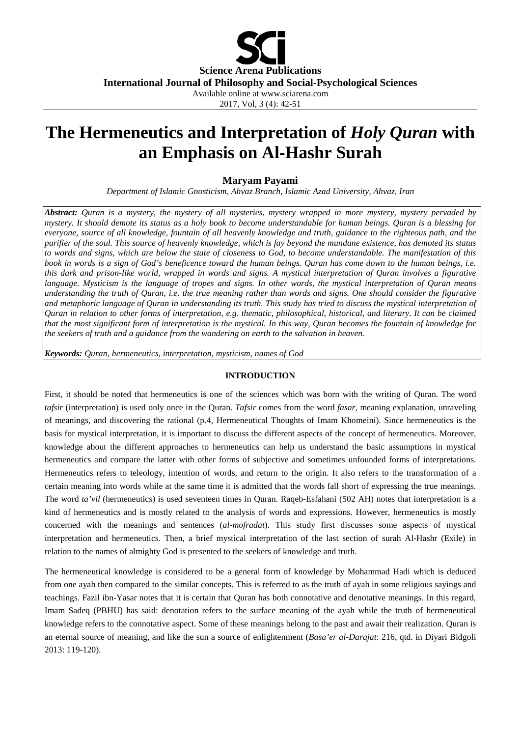

# **The Hermeneutics and Interpretation of** *Holy Quran* **with an Emphasis on Al-Hashr Surah**

## **Maryam Payami**

*Department of Islamic Gnosticism, Ahvaz Branch, Islamic Azad University, Ahvaz, Iran*

*Abstract: Quran is a mystery, the mystery of all mysteries, mystery wrapped in more mystery, mystery pervaded by mystery. It should demote its status as a holy book to become understandable for human beings. Quran is a blessing for everyone, source of all knowledge, fountain of all heavenly knowledge and truth, guidance to the righteous path, and the purifier of the soul. This source of heavenly knowledge, which is fay beyond the mundane existence, has demoted its status to words and signs, which are below the state of closeness to God, to become understandable. The manifestation of this book in words is a sign of God's beneficence toward the human beings. Quran has come down to the human beings, i.e. this dark and prison-like world, wrapped in words and signs. A mystical interpretation of Quran involves a figurative language. Mysticism is the language of tropes and signs. In other words, the mystical interpretation of Quran means understanding the truth of Quran, i.e. the true meaning rather than words and signs. One should consider the figurative and metaphoric language of Quran in understanding its truth. This study has tried to discuss the mystical interpretation of Quran in relation to other forms of interpretation, e.g. thematic, philosophical, historical, and literary. It can be claimed that the most significant form of interpretation is the mystical. In this way, Quran becomes the fountain of knowledge for the seekers of truth and a guidance from the wandering on earth to the salvation in heaven.* 

*Keywords: Quran, hermeneutics, interpretation, mysticism, names of God*

## **INTRODUCTION**

First, it should be noted that hermeneutics is one of the sciences which was born with the writing of Quran. The word *tafsir* (interpretation) is used only once in the Quran. *Tafsir* comes from the word *fasar*, meaning explanation, unraveling of meanings, and discovering the rational (p.4, Hermeneutical Thoughts of Imam Khomeini). Since hermeneutics is the basis for mystical interpretation, it is important to discuss the different aspects of the concept of hermeneutics. Moreover, knowledge about the different approaches to hermeneutics can help us understand the basic assumptions in mystical hermeneutics and compare the latter with other forms of subjective and sometimes unfounded forms of interpretations. Hermeneutics refers to teleology, intention of words, and return to the origin. It also refers to the transformation of a certain meaning into words while at the same time it is admitted that the words fall short of expressing the true meanings. The word *ta'vil* (hermeneutics) is used seventeen times in Quran. Raqeb-Esfahani (502 AH) notes that interpretation is a kind of hermeneutics and is mostly related to the analysis of words and expressions. However, hermeneutics is mostly concerned with the meanings and sentences (*al-mofradat*). This study first discusses some aspects of mystical interpretation and hermeneutics. Then, a brief mystical interpretation of the last section of surah Al-Hashr (Exile) in relation to the names of almighty God is presented to the seekers of knowledge and truth.

The hermeneutical knowledge is considered to be a general form of knowledge by Mohammad Hadi which is deduced from one ayah then compared to the similar concepts. This is referred to as the truth of ayah in some religious sayings and teachings. Fazil ibn-Yasar notes that it is certain that Quran has both connotative and denotative meanings. In this regard, Imam Sadeq (PBHU) has said: denotation refers to the surface meaning of the ayah while the truth of hermeneutical knowledge refers to the connotative aspect. Some of these meanings belong to the past and await their realization. Quran is an eternal source of meaning, and like the sun a source of enlightenment (*Basa'er al-Darajat*: 216, qtd. in Diyari Bidgoli 2013: 119-120).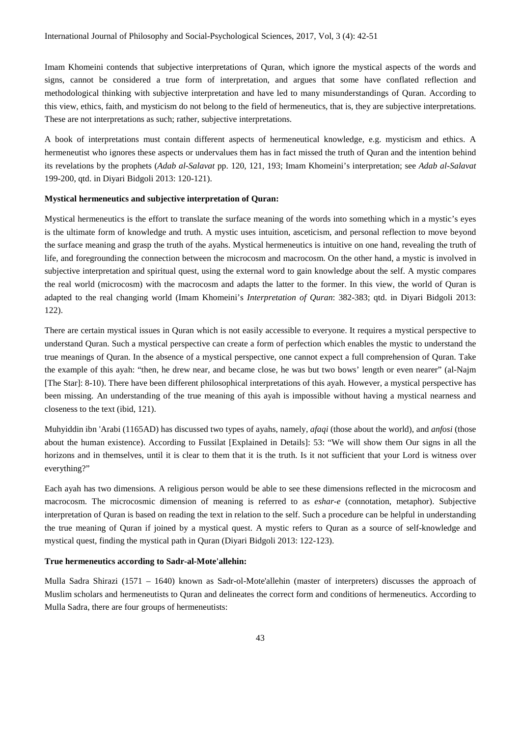Imam Khomeini contends that subjective interpretations of Quran, which ignore the mystical aspects of the words and signs, cannot be considered a true form of interpretation, and argues that some have conflated reflection and methodological thinking with subjective interpretation and have led to many misunderstandings of Quran. According to this view, ethics, faith, and mysticism do not belong to the field of hermeneutics, that is, they are subjective interpretations. These are not interpretations as such; rather, subjective interpretations.

A book of interpretations must contain different aspects of hermeneutical knowledge, e.g. mysticism and ethics. A hermeneutist who ignores these aspects or undervalues them has in fact missed the truth of Quran and the intention behind its revelations by the prophets (*Adab al-Salavat* pp. 120, 121, 193; Imam Khomeini's interpretation; see *Adab al-Salavat* 199-200, qtd. in Diyari Bidgoli 2013: 120-121).

## **Mystical hermeneutics and subjective interpretation of Quran:**

Mystical hermeneutics is the effort to translate the surface meaning of the words into something which in a mystic's eyes is the ultimate form of knowledge and truth. A mystic uses intuition, asceticism, and personal reflection to move beyond the surface meaning and grasp the truth of the ayahs. Mystical hermeneutics is intuitive on one hand, revealing the truth of life, and foregrounding the connection between the microcosm and macrocosm. On the other hand, a mystic is involved in subjective interpretation and spiritual quest, using the external word to gain knowledge about the self. A mystic compares the real world (microcosm) with the macrocosm and adapts the latter to the former. In this view, the world of Quran is adapted to the real changing world (Imam Khomeini's *Interpretation of Quran*: 382-383; qtd. in Diyari Bidgoli 2013: 122).

There are certain mystical issues in Quran which is not easily accessible to everyone. It requires a mystical perspective to understand Quran. Such a mystical perspective can create a form of perfection which enables the mystic to understand the true meanings of Quran. In the absence of a mystical perspective, one cannot expect a full comprehension of Quran. Take the example of this ayah: "then, he drew near, and became close, he was but two bows' length or even nearer" (al-Najm [The Star]: 8-10). There have been different philosophical interpretations of this ayah. However, a mystical perspective has been missing. An understanding of the true meaning of this ayah is impossible without having a mystical nearness and closeness to the text (ibid, 121).

Muhyiddin ibn 'Arabi (1165AD) has discussed two types of ayahs, namely, *afaqi* (those about the world), and *anfosi* (those about the human existence). According to Fussilat [Explained in Details]: 53: "We will show them Our signs in all the horizons and in themselves, until it is clear to them that it is the truth. Is it not sufficient that your Lord is witness over everything?"

Each ayah has two dimensions. A religious person would be able to see these dimensions reflected in the microcosm and macrocosm. The microcosmic dimension of meaning is referred to as *eshar-e* (connotation, metaphor). Subjective interpretation of Quran is based on reading the text in relation to the self. Such a procedure can be helpful in understanding the true meaning of Quran if joined by a mystical quest. A mystic refers to Quran as a source of self-knowledge and mystical quest, finding the mystical path in Quran (Diyari Bidgoli 2013: 122-123).

## **True hermeneutics according to Sadr-al-Mote'allehin:**

Mulla Sadra Shirazi (1571 – 1640) known as Sadr-ol-Mote'allehin (master of interpreters) discusses the approach of Muslim scholars and hermeneutists to Quran and delineates the correct form and conditions of hermeneutics. According to Mulla Sadra, there are four groups of hermeneutists: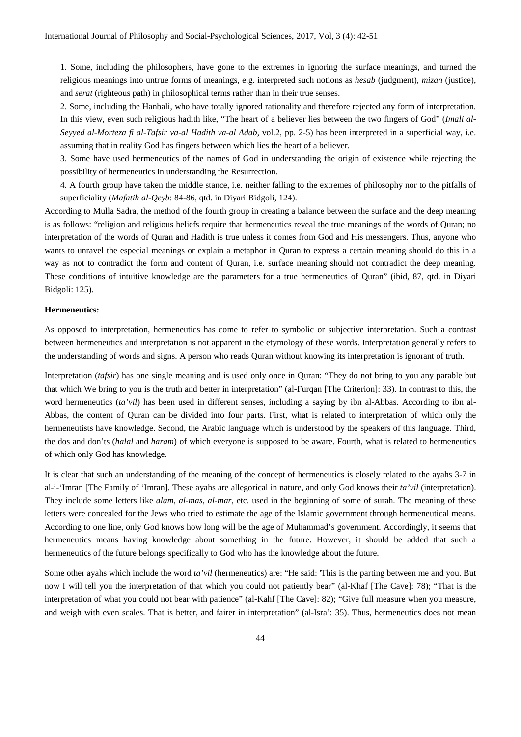1. Some, including the philosophers, have gone to the extremes in ignoring the surface meanings, and turned the religious meanings into untrue forms of meanings, e.g. interpreted such notions as *hesab* (judgment), *mizan* (justice), and *serat* (righteous path) in philosophical terms rather than in their true senses.

2. Some, including the Hanbali, who have totally ignored rationality and therefore rejected any form of interpretation. In this view, even such religious hadith like, "The heart of a believer lies between the two fingers of God" (*Imali al-Seyyed al-Morteza fi al-Tafsir va-al Hadith va-al Adab*, vol.2, pp. 2-5) has been interpreted in a superficial way, i.e. assuming that in reality God has fingers between which lies the heart of a believer.

3. Some have used hermeneutics of the names of God in understanding the origin of existence while rejecting the possibility of hermeneutics in understanding the Resurrection.

4. A fourth group have taken the middle stance, i.e. neither falling to the extremes of philosophy nor to the pitfalls of superficiality (*Mafatih al-Qeyb*: 84-86, qtd. in Diyari Bidgoli, 124).

According to Mulla Sadra, the method of the fourth group in creating a balance between the surface and the deep meaning is as follows: "religion and religious beliefs require that hermeneutics reveal the true meanings of the words of Quran; no interpretation of the words of Quran and Hadith is true unless it comes from God and His messengers. Thus, anyone who wants to unravel the especial meanings or explain a metaphor in Quran to express a certain meaning should do this in a way as not to contradict the form and content of Quran, i.e. surface meaning should not contradict the deep meaning. These conditions of intuitive knowledge are the parameters for a true hermeneutics of Quran" (ibid, 87, qtd. in Diyari Bidgoli: 125).

## **Hermeneutics:**

As opposed to interpretation, hermeneutics has come to refer to symbolic or subjective interpretation. Such a contrast between hermeneutics and interpretation is not apparent in the etymology of these words. Interpretation generally refers to the understanding of words and signs. A person who reads Quran without knowing its interpretation is ignorant of truth.

Interpretation (*tafsir*) has one single meaning and is used only once in Quran: "They do not bring to you any parable but that which We bring to you is the truth and better in interpretation" (al-Furqan [The Criterion]: 33). In contrast to this, the word hermeneutics (*ta'vil*) has been used in different senses, including a saying by ibn al-Abbas. According to ibn al-Abbas, the content of Quran can be divided into four parts. First, what is related to interpretation of which only the hermeneutists have knowledge. Second, the Arabic language which is understood by the speakers of this language. Third, the dos and don'ts (*halal* and *haram*) of which everyone is supposed to be aware. Fourth, what is related to hermeneutics of which only God has knowledge.

It is clear that such an understanding of the meaning of the concept of hermeneutics is closely related to the ayahs 3-7 in al-i-'Imran [The Family of 'Imran]. These ayahs are allegorical in nature, and only God knows their *ta'vil* (interpretation). They include some letters like *alam*, *al-mas*, *al-mar*, etc. used in the beginning of some of surah. The meaning of these letters were concealed for the Jews who tried to estimate the age of the Islamic government through hermeneutical means. According to one line, only God knows how long will be the age of Muhammad's government. Accordingly, it seems that hermeneutics means having knowledge about something in the future. However, it should be added that such a hermeneutics of the future belongs specifically to God who has the knowledge about the future.

Some other ayahs which include the word *ta'vil* (hermeneutics) are: "He said: 'This is the parting between me and you. But now I will tell you the interpretation of that which you could not patiently bear" (al-Khaf [The Cave]: 78); "That is the interpretation of what you could not bear with patience" (al-Kahf [The Cave]: 82); "Give full measure when you measure, and weigh with even scales. That is better, and fairer in interpretation" (al-Isra': 35). Thus, hermeneutics does not mean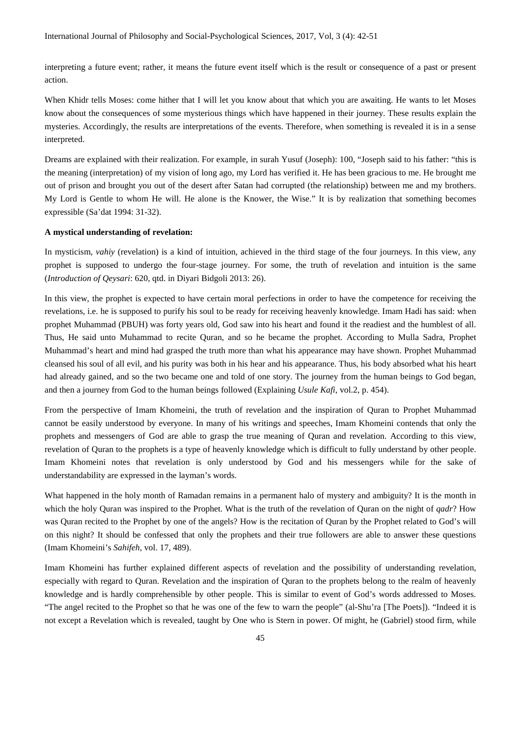interpreting a future event; rather, it means the future event itself which is the result or consequence of a past or present action.

When Khidr tells Moses: come hither that I will let you know about that which you are awaiting. He wants to let Moses know about the consequences of some mysterious things which have happened in their journey. These results explain the mysteries. Accordingly, the results are interpretations of the events. Therefore, when something is revealed it is in a sense interpreted.

Dreams are explained with their realization. For example, in surah Yusuf (Joseph): 100, "Joseph said to his father: "this is the meaning (interpretation) of my vision of long ago, my Lord has verified it. He has been gracious to me. He brought me out of prison and brought you out of the desert after Satan had corrupted (the relationship) between me and my brothers. My Lord is Gentle to whom He will. He alone is the Knower, the Wise." It is by realization that something becomes expressible (Sa'dat 1994: 31-32).

#### **A mystical understanding of revelation:**

In mysticism, *vahiy* (revelation) is a kind of intuition, achieved in the third stage of the four journeys. In this view, any prophet is supposed to undergo the four-stage journey. For some, the truth of revelation and intuition is the same (*Introduction of Qeysari*: 620, qtd. in Diyari Bidgoli 2013: 26).

In this view, the prophet is expected to have certain moral perfections in order to have the competence for receiving the revelations, i.e. he is supposed to purify his soul to be ready for receiving heavenly knowledge. Imam Hadi has said: when prophet Muhammad (PBUH) was forty years old, God saw into his heart and found it the readiest and the humblest of all. Thus, He said unto Muhammad to recite Quran, and so he became the prophet. According to Mulla Sadra, Prophet Muhammad's heart and mind had grasped the truth more than what his appearance may have shown. Prophet Muhammad cleansed his soul of all evil, and his purity was both in his hear and his appearance. Thus, his body absorbed what his heart had already gained, and so the two became one and told of one story. The journey from the human beings to God began, and then a journey from God to the human beings followed (Explaining *Usule Kafi*, vol.2, p. 454).

From the perspective of Imam Khomeini, the truth of revelation and the inspiration of Quran to Prophet Muhammad cannot be easily understood by everyone. In many of his writings and speeches, Imam Khomeini contends that only the prophets and messengers of God are able to grasp the true meaning of Quran and revelation. According to this view, revelation of Quran to the prophets is a type of heavenly knowledge which is difficult to fully understand by other people. Imam Khomeini notes that revelation is only understood by God and his messengers while for the sake of understandability are expressed in the layman's words.

What happened in the holy month of Ramadan remains in a permanent halo of mystery and ambiguity? It is the month in which the holy Quran was inspired to the Prophet. What is the truth of the revelation of Quran on the night of *qadr*? How was Quran recited to the Prophet by one of the angels? How is the recitation of Quran by the Prophet related to God's will on this night? It should be confessed that only the prophets and their true followers are able to answer these questions (Imam Khomeini's *Sahifeh*, vol. 17, 489).

Imam Khomeini has further explained different aspects of revelation and the possibility of understanding revelation, especially with regard to Quran. Revelation and the inspiration of Quran to the prophets belong to the realm of heavenly knowledge and is hardly comprehensible by other people. This is similar to event of God's words addressed to Moses. "The angel recited to the Prophet so that he was one of the few to warn the people" (al-Shu'ra [The Poets]). "Indeed it is not except a Revelation which is revealed, taught by One who is Stern in power. Of might, he (Gabriel) stood firm, while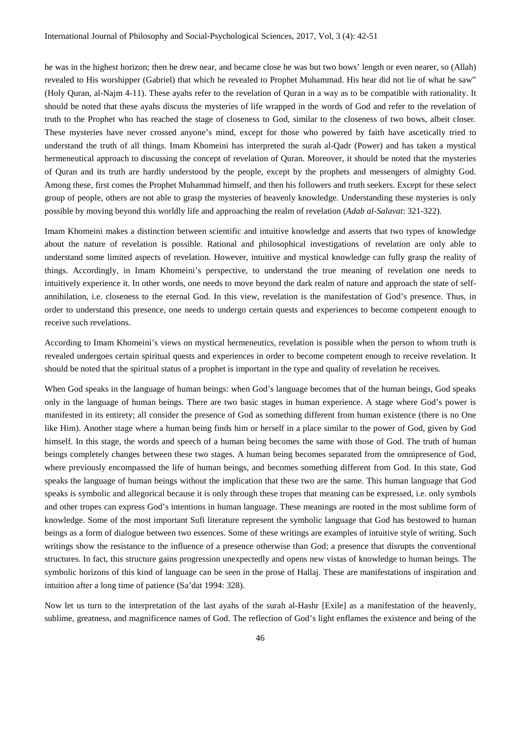he was in the highest horizon; then he drew near, and became close he was but two bows' length or even nearer, so (Allah) revealed to His worshipper (Gabriel) that which he revealed to Prophet Muhammad. His hear did not lie of what he saw" (Holy Quran, al-Najm 4-11). These ayahs refer to the revelation of Quran in a way as to be compatible with rationality. It should be noted that these ayahs discuss the mysteries of life wrapped in the words of God and refer to the revelation of truth to the Prophet who has reached the stage of closeness to God, similar to the closeness of two bows, albeit closer. These mysteries have never crossed anyone's mind, except for those who powered by faith have ascetically tried to understand the truth of all things. Imam Khomeini has interpreted the surah al-Qadr (Power) and has taken a mystical hermeneutical approach to discussing the concept of revelation of Quran. Moreover, it should be noted that the mysteries of Quran and its truth are hardly understood by the people, except by the prophets and messengers of almighty God. Among these, first comes the Prophet Muhammad himself, and then his followers and truth seekers. Except for these select group of people, others are not able to grasp the mysteries of heavenly knowledge. Understanding these mysteries is only possible by moving beyond this worldly life and approaching the realm of revelation (*Adab al-Salavat*: 321-322).

Imam Khomeini makes a distinction between scientific and intuitive knowledge and asserts that two types of knowledge about the nature of revelation is possible. Rational and philosophical investigations of revelation are only able to understand some limited aspects of revelation. However, intuitive and mystical knowledge can fully grasp the reality of things. Accordingly, in Imam Khomeini's perspective, to understand the true meaning of revelation one needs to intuitively experience it. In other words, one needs to move beyond the dark realm of nature and approach the state of selfannihilation, i.e. closeness to the eternal God. In this view, revelation is the manifestation of God's presence. Thus, in order to understand this presence, one needs to undergo certain quests and experiences to become competent enough to receive such revelations.

According to Imam Khomeini's views on mystical hermeneutics, revelation is possible when the person to whom truth is revealed undergoes certain spiritual quests and experiences in order to become competent enough to receive revelation. It should be noted that the spiritual status of a prophet is important in the type and quality of revelation he receives.

When God speaks in the language of human beings: when God's language becomes that of the human beings, God speaks only in the language of human beings. There are two basic stages in human experience. A stage where God's power is manifested in its entirety; all consider the presence of God as something different from human existence (there is no One like Him). Another stage where a human being finds him or herself in a place similar to the power of God, given by God himself. In this stage, the words and speech of a human being becomes the same with those of God. The truth of human beings completely changes between these two stages. A human being becomes separated from the omnipresence of God, where previously encompassed the life of human beings, and becomes something different from God. In this state, God speaks the language of human beings without the implication that these two are the same. This human language that God speaks is symbolic and allegorical because it is only through these tropes that meaning can be expressed, i.e. only symbols and other tropes can express God's intentions in human language. These meanings are rooted in the most sublime form of knowledge. Some of the most important Sufi literature represent the symbolic language that God has bestowed to human beings as a form of dialogue between two essences. Some of these writings are examples of intuitive style of writing. Such writings show the resistance to the influence of a presence otherwise than God; a presence that disrupts the conventional structures. In fact, this structure gains progression unexpectedly and opens new vistas of knowledge to human beings. The symbolic horizons of this kind of language can be seen in the prose of Hallaj. These are manifestations of inspiration and intuition after a long time of patience (Sa'dat 1994: 328).

Now let us turn to the interpretation of the last ayahs of the surah al-Hashr [Exile] as a manifestation of the heavenly, sublime, greatness, and magnificence names of God. The reflection of God's light enflames the existence and being of the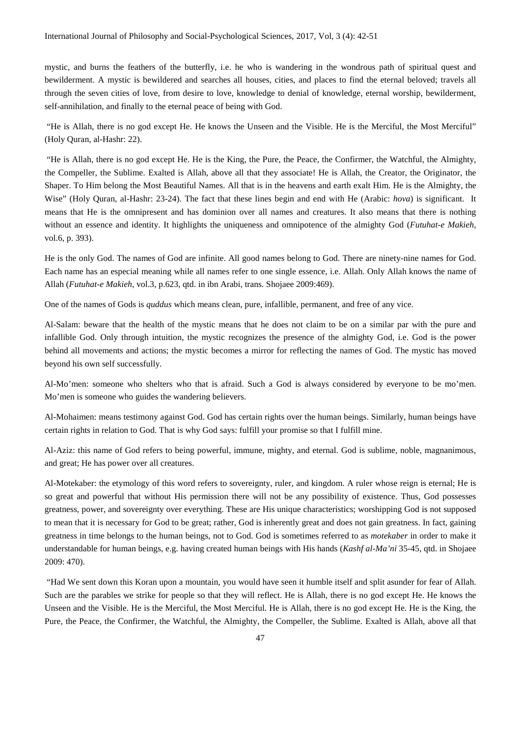mystic, and burns the feathers of the butterfly, i.e. he who is wandering in the wondrous path of spiritual quest and bewilderment. A mystic is bewildered and searches all houses, cities, and places to find the eternal beloved; travels all through the seven cities of love, from desire to love, knowledge to denial of knowledge, eternal worship, bewilderment, self-annihilation, and finally to the eternal peace of being with God.

"He is Allah, there is no god except He. He knows the Unseen and the Visible. He is the Merciful, the Most Merciful" (Holy Quran, al-Hashr: 22).

"He is Allah, there is no god except He. He is the King, the Pure, the Peace, the Confirmer, the Watchful, the Almighty, the Compeller, the Sublime. Exalted is Allah, above all that they associate! He is Allah, the Creator, the Originator, the Shaper. To Him belong the Most Beautiful Names. All that is in the heavens and earth exalt Him. He is the Almighty, the Wise" (Holy Quran, al-Hashr: 23-24). The fact that these lines begin and end with He (Arabic: *hova*) is significant. It means that He is the omnipresent and has dominion over all names and creatures. It also means that there is nothing without an essence and identity. It highlights the uniqueness and omnipotence of the almighty God (*Futuhat-e Makieh*, vol.6, p. 393).

He is the only God. The names of God are infinite. All good names belong to God. There are ninety-nine names for God. Each name has an especial meaning while all names refer to one single essence, i.e. Allah. Only Allah knows the name of Allah (*Futuhat-e Makieh*, vol.3, p.623, qtd. in ibn Arabi, trans. Shojaee 2009:469).

One of the names of Gods is *quddus* which means clean, pure, infallible, permanent, and free of any vice.

Al-Salam: beware that the health of the mystic means that he does not claim to be on a similar par with the pure and infallible God. Only through intuition, the mystic recognizes the presence of the almighty God, i.e. God is the power behind all movements and actions; the mystic becomes a mirror for reflecting the names of God. The mystic has moved beyond his own self successfully.

Al-Mo'men: someone who shelters who that is afraid. Such a God is always considered by everyone to be mo'men. Mo'men is someone who guides the wandering believers.

Al-Mohaimen: means testimony against God. God has certain rights over the human beings. Similarly, human beings have certain rights in relation to God. That is why God says: fulfill your promise so that I fulfill mine.

Al-Aziz: this name of God refers to being powerful, immune, mighty, and eternal. God is sublime, noble, magnanimous, and great; He has power over all creatures.

Al-Motekaber: the etymology of this word refers to sovereignty, ruler, and kingdom. A ruler whose reign is eternal; He is so great and powerful that without His permission there will not be any possibility of existence. Thus, God possesses greatness, power, and sovereignty over everything. These are His unique characteristics; worshipping God is not supposed to mean that it is necessary for God to be great; rather, God is inherently great and does not gain greatness. In fact, gaining greatness in time belongs to the human beings, not to God. God is sometimes referred to as *motekaber* in order to make it understandable for human beings, e.g. having created human beings with His hands (*Kashf al-Ma'ni* 35-45, qtd. in Shojaee 2009: 470).

"Had We sent down this Koran upon a mountain, you would have seen it humble itself and split asunder for fear of Allah. Such are the parables we strike for people so that they will reflect. He is Allah, there is no god except He. He knows the Unseen and the Visible. He is the Merciful, the Most Merciful. He is Allah, there is no god except He. He is the King, the Pure, the Peace, the Confirmer, the Watchful, the Almighty, the Compeller, the Sublime. Exalted is Allah, above all that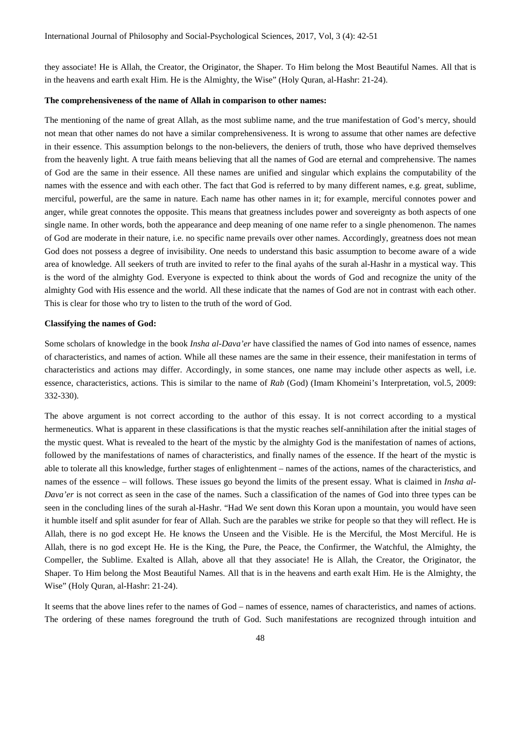they associate! He is Allah, the Creator, the Originator, the Shaper. To Him belong the Most Beautiful Names. All that is in the heavens and earth exalt Him. He is the Almighty, the Wise" (Holy Quran, al-Hashr: 21-24).

### **The comprehensiveness of the name of Allah in comparison to other names:**

The mentioning of the name of great Allah, as the most sublime name, and the true manifestation of God's mercy, should not mean that other names do not have a similar comprehensiveness. It is wrong to assume that other names are defective in their essence. This assumption belongs to the non-believers, the deniers of truth, those who have deprived themselves from the heavenly light. A true faith means believing that all the names of God are eternal and comprehensive. The names of God are the same in their essence. All these names are unified and singular which explains the computability of the names with the essence and with each other. The fact that God is referred to by many different names, e.g. great, sublime, merciful, powerful, are the same in nature. Each name has other names in it; for example, merciful connotes power and anger, while great connotes the opposite. This means that greatness includes power and sovereignty as both aspects of one single name. In other words, both the appearance and deep meaning of one name refer to a single phenomenon. The names of God are moderate in their nature, i.e. no specific name prevails over other names. Accordingly, greatness does not mean God does not possess a degree of invisibility. One needs to understand this basic assumption to become aware of a wide area of knowledge. All seekers of truth are invited to refer to the final ayahs of the surah al-Hashr in a mystical way. This is the word of the almighty God. Everyone is expected to think about the words of God and recognize the unity of the almighty God with His essence and the world. All these indicate that the names of God are not in contrast with each other. This is clear for those who try to listen to the truth of the word of God.

#### **Classifying the names of God:**

Some scholars of knowledge in the book *Insha al-Dava'er* have classified the names of God into names of essence, names of characteristics, and names of action. While all these names are the same in their essence, their manifestation in terms of characteristics and actions may differ. Accordingly, in some stances, one name may include other aspects as well, i.e. essence, characteristics, actions. This is similar to the name of *Rab* (God) (Imam Khomeini's Interpretation, vol.5, 2009: 332-330).

The above argument is not correct according to the author of this essay. It is not correct according to a mystical hermeneutics. What is apparent in these classifications is that the mystic reaches self-annihilation after the initial stages of the mystic quest. What is revealed to the heart of the mystic by the almighty God is the manifestation of names of actions, followed by the manifestations of names of characteristics, and finally names of the essence. If the heart of the mystic is able to tolerate all this knowledge, further stages of enlightenment – names of the actions, names of the characteristics, and names of the essence – will follows. These issues go beyond the limits of the present essay. What is claimed in *Insha al-Dava'er* is not correct as seen in the case of the names. Such a classification of the names of God into three types can be seen in the concluding lines of the surah al-Hashr. "Had We sent down this Koran upon a mountain, you would have seen it humble itself and split asunder for fear of Allah. Such are the parables we strike for people so that they will reflect. He is Allah, there is no god except He. He knows the Unseen and the Visible. He is the Merciful, the Most Merciful. He is Allah, there is no god except He. He is the King, the Pure, the Peace, the Confirmer, the Watchful, the Almighty, the Compeller, the Sublime. Exalted is Allah, above all that they associate! He is Allah, the Creator, the Originator, the Shaper. To Him belong the Most Beautiful Names. All that is in the heavens and earth exalt Him. He is the Almighty, the Wise" (Holy Quran, al-Hashr: 21-24).

It seems that the above lines refer to the names of God – names of essence, names of characteristics, and names of actions. The ordering of these names foreground the truth of God. Such manifestations are recognized through intuition and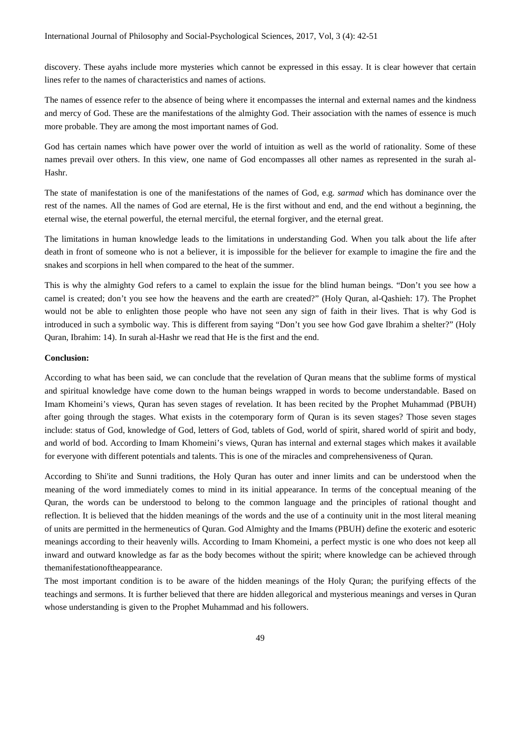discovery. These ayahs include more mysteries which cannot be expressed in this essay. It is clear however that certain lines refer to the names of characteristics and names of actions.

The names of essence refer to the absence of being where it encompasses the internal and external names and the kindness and mercy of God. These are the manifestations of the almighty God. Their association with the names of essence is much more probable. They are among the most important names of God.

God has certain names which have power over the world of intuition as well as the world of rationality. Some of these names prevail over others. In this view, one name of God encompasses all other names as represented in the surah al-Hashr.

The state of manifestation is one of the manifestations of the names of God, e.g. *sarmad* which has dominance over the rest of the names. All the names of God are eternal, He is the first without and end, and the end without a beginning, the eternal wise, the eternal powerful, the eternal merciful, the eternal forgiver, and the eternal great.

The limitations in human knowledge leads to the limitations in understanding God. When you talk about the life after death in front of someone who is not a believer, it is impossible for the believer for example to imagine the fire and the snakes and scorpions in hell when compared to the heat of the summer.

This is why the almighty God refers to a camel to explain the issue for the blind human beings. "Don't you see how a camel is created; don't you see how the heavens and the earth are created?" (Holy Quran, al-Qashieh: 17). The Prophet would not be able to enlighten those people who have not seen any sign of faith in their lives. That is why God is introduced in such a symbolic way. This is different from saying "Don't you see how God gave Ibrahim a shelter?" (Holy Quran, Ibrahim: 14). In surah al-Hashr we read that He is the first and the end.

#### **Conclusion:**

According to what has been said, we can conclude that the revelation of Quran means that the sublime forms of mystical and spiritual knowledge have come down to the human beings wrapped in words to become understandable. Based on Imam Khomeini's views, Quran has seven stages of revelation. It has been recited by the Prophet Muhammad (PBUH) after going through the stages. What exists in the cotemporary form of Quran is its seven stages? Those seven stages include: status of God, knowledge of God, letters of God, tablets of God, world of spirit, shared world of spirit and body, and world of bod. According to Imam Khomeini's views, Quran has internal and external stages which makes it available for everyone with different potentials and talents. This is one of the miracles and comprehensiveness of Quran.

According to Shi'ite and Sunni traditions, the Holy Quran has outer and inner limits and can be understood when the meaning of the word immediately comes to mind in its initial appearance. In terms of the conceptual meaning of the Quran, the words can be understood to belong to the common language and the principles of rational thought and reflection. It is believed that the hidden meanings of the words and the use of a continuity unit in the most literal meaning of units are permitted in the hermeneutics of Quran. God Almighty and the Imams (PBUH) define the exoteric and esoteric meanings according to their heavenly wills. According to Imam Khomeini, a perfect mystic is one who does not keep all inward and outward knowledge as far as the body becomes without the spirit; where knowledge can be achieved through themanifestationoftheappearance.

The most important condition is to be aware of the hidden meanings of the Holy Quran; the purifying effects of the teachings and sermons. It is further believed that there are hidden allegorical and mysterious meanings and verses in Quran whose understanding is given to the Prophet Muhammad and his followers.